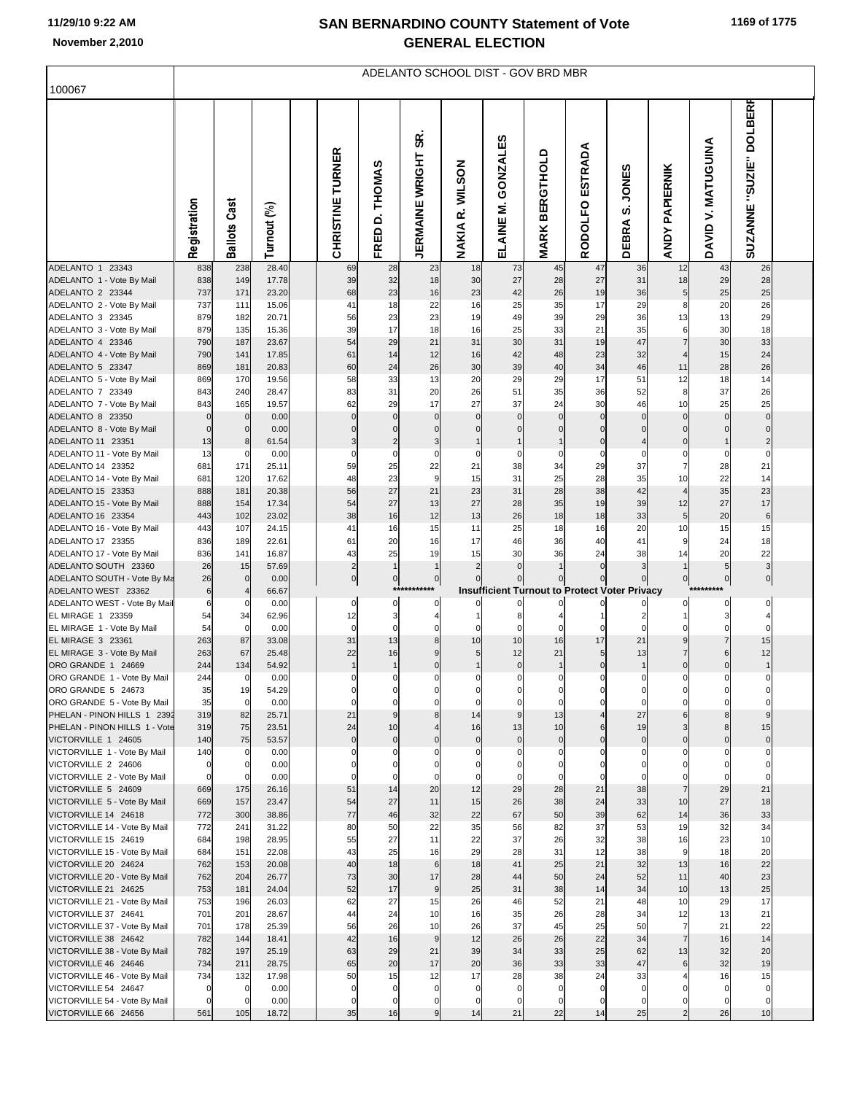## **SAN BERNARDINO COUNTY Statement of Vote November 2,2010 GENERAL ELECTION**

|                                                       | ADELANTO SCHOOL DIST - GOV BRD MBR |                            |                |  |                                  |                          |                                  |                            |                            |                                 |                            |                                                      |                                 |                                           |                                   |  |
|-------------------------------------------------------|------------------------------------|----------------------------|----------------|--|----------------------------------|--------------------------|----------------------------------|----------------------------|----------------------------|---------------------------------|----------------------------|------------------------------------------------------|---------------------------------|-------------------------------------------|-----------------------------------|--|
| 100067                                                |                                    |                            |                |  |                                  |                          |                                  |                            |                            |                                 |                            |                                                      |                                 |                                           |                                   |  |
|                                                       | Registration                       | <b>Ballots Cast</b>        | Turnout (%)    |  | CHRISTINE TURNER                 | <b>D. THOMAS</b><br>FRED | န္တ<br><b>JERMAINE WRIGHT</b>    | R. WILSON<br><b>NAKIA</b>  | GONZALES<br>Σ<br>ELAINE    | <b>BERGTHOLD</b><br><b>MARK</b> | ESTRADA<br><b>RODOLFO</b>  | <b>JONES</b><br><u>ທ່</u><br>DEBRA                   | <b>PAPIERNIK</b><br><b>ANDY</b> | <b>MATUGUINA</b><br>$\mathbf{r}$<br>DAVID | <b>DOLBERR</b><br>SUZANNE "SUZIE" |  |
| ADELANTO 1 23343                                      | 838                                | 238                        | 28.40          |  | 69                               | 28                       | 23                               | 18                         | 73                         | 45                              | 47                         | 36                                                   | 12                              | 43                                        | 26                                |  |
| ADELANTO 1 - Vote By Mail<br>ADELANTO 2 23344         | 838<br>737                         | 149<br>171                 | 17.78<br>23.20 |  | 39<br>68                         | 32<br>23                 | 18<br>16                         | 30<br>23                   | 27<br>42                   | 28<br>26                        | 27<br>19                   | 31<br>36                                             | 18<br>5 <sub>5</sub>            | 29<br>25                                  | 28<br>25                          |  |
| ADELANTO 2 - Vote By Mail                             | 737                                | 111                        | 15.06          |  | 41                               | 18                       | 22                               | 16                         | 25                         | 35                              | 17                         | 29                                                   | 8                               | 20                                        | 26                                |  |
| ADELANTO 3 23345                                      | 879                                | 182                        | 20.71          |  | 56                               | 23                       | 23                               | 19                         | 49                         | 39                              | 29                         | 36                                                   | 13                              | 13                                        | 29                                |  |
| ADELANTO 3 - Vote By Mail                             | 879                                | 135                        | 15.36          |  | 39                               | 17                       | 18                               | 16                         | 25                         | 33                              | 21                         | 35                                                   | 6                               | 30                                        | 18                                |  |
| ADELANTO 4 23346                                      | 790                                | 187                        | 23.67          |  | 54                               | 29                       | 21                               | 31                         | 30                         | 31                              | 19                         | 47                                                   | $\overline{7}$                  | 30                                        | 33<br>24                          |  |
| ADELANTO 4 - Vote By Mail<br>ADELANTO 5 23347         | 790<br>869                         | 141<br>181                 | 17.85<br>20.83 |  | 61<br>60                         | 14<br>24                 | 12<br>26                         | 16<br>30                   | 42<br>39                   | 48<br>40                        | 23<br>34                   | 32<br>46                                             | $\overline{4}$<br>11            | 15<br>28                                  | 26                                |  |
| ADELANTO 5 - Vote By Mail                             | 869                                | 170                        | 19.56          |  | 58                               | 33                       | 13                               | 20                         | 29                         | 29                              | 17                         | 51                                                   | 12                              | 18                                        | 14                                |  |
| ADELANTO 7 23349                                      | 843                                | 240                        | 28.47          |  | 83                               | 31                       | 20                               | 26                         | 51                         | 35                              | 36                         | 52                                                   | 8                               | 37                                        | 26                                |  |
| ADELANTO 7 - Vote By Mail                             | 843                                | 165                        | 19.57          |  | 62                               | 29                       | 17                               | 27                         | 37                         | 24                              | 30                         | 46                                                   | 10                              | 25                                        | 25                                |  |
| ADELANTO 8 23350<br>ADELANTO 8 - Vote By Mail         | $\mathbf 0$<br>$\mathbf 0$         | $\mathbf 0$<br>$\mathbf 0$ | 0.00<br>0.00   |  | $\mathbf 0$<br>$\Omega$          | $\mathbf 0$<br>$\Omega$  | $\overline{0}$<br>$\overline{0}$ | $\mathbf 0$<br>$\mathbf 0$ | $\mathbf 0$<br>$\mathbf 0$ | $\mathbf 0$<br>$\mathbf 0$      | $\mathbf 0$<br>$\mathbf 0$ | $\mathbf 0$<br>$\mathbf 0$                           | $\mathbf 0$<br>$\overline{0}$   | $\mathbf 0$<br>$\overline{0}$             |                                   |  |
| ADELANTO 11 23351                                     | 13                                 | 8                          | 61.54          |  | 3                                | $\overline{c}$           | $\overline{3}$                   |                            |                            | $\mathbf{1}$                    | $\overline{0}$             | 4                                                    | $\overline{0}$                  | 1                                         | $\overline{2}$                    |  |
| ADELANTO 11 - Vote By Mail                            | 13                                 | 0                          | 0.00           |  | $\Omega$                         | $\mathbf 0$              | $\mathbf 0$                      | 0                          | $\mathbf 0$                | $\mathbf 0$                     | 0                          | $\mathbf 0$                                          | $\overline{0}$                  | $\overline{0}$                            | $\mathbf 0$                       |  |
| ADELANTO 14 23352                                     | 681                                | 171                        | 25.11          |  | 59                               | 25                       | 22                               | 21                         | 38                         | 34                              | 29                         | 37                                                   | 7                               | 28                                        | 21                                |  |
| ADELANTO 14 - Vote By Mail                            | 681                                | 120                        | 17.62          |  | 48                               | 23                       | $\overline{9}$                   | 15                         | 31                         | 25                              | 28                         | 35                                                   | 10                              | 22                                        | 14                                |  |
| ADELANTO 15 23353<br>ADELANTO 15 - Vote By Mail       | 888<br>888                         | 181<br>154                 | 20.38<br>17.34 |  | 56<br>54                         | 27<br>27                 | 21<br>13                         | 23<br>27                   | 31<br>28                   | 28<br>35                        | 38<br>19                   | 42<br>39                                             | $\overline{4}$<br>12            | 35<br>27                                  | 23<br>17                          |  |
| ADELANTO 16 23354                                     | 443                                | 102                        | 23.02          |  | 38                               | 16                       | 12                               | 13                         | 26                         | 18                              | 18                         | 33                                                   | 5 <sub>5</sub>                  | 20                                        | $\,6$                             |  |
| ADELANTO 16 - Vote By Mail                            | 443                                | 107                        | 24.15          |  | 41                               | 16                       | 15                               | 11                         | 25                         | 18                              | 16                         | 20                                                   | 10                              | 15                                        | 15                                |  |
| ADELANTO 17 23355                                     | 836                                | 189                        | 22.61          |  | 61                               | 20                       | 16                               | 17                         | 46                         | 36                              | 40                         | 41                                                   | 9                               | 24                                        | 18                                |  |
| ADELANTO 17 - Vote By Mail                            | 836                                | 141                        | 16.87          |  | 43                               | 25                       | 19                               | 15                         | 30                         | 36                              | 24                         | 38                                                   | 14                              | 20                                        | 22                                |  |
| ADELANTO SOUTH 23360<br>ADELANTO SOUTH - Vote By Ma   | 26<br>26                           | 15<br>$\mathbf 0$          | 57.69<br>0.00  |  | $\overline{c}$<br>$\overline{0}$ | $\mathbf{1}$<br> 0       | $\mathbf{1}$<br>$\overline{0}$   | $\overline{2}$             | $\mathbf{0}$               | $\overline{1}$<br>$\mathbf 0$   | $\mathbf{0}$               | 3                                                    | $\mathbf{1}$<br>이               | 5 <sub>5</sub><br>$\overline{0}$          | 3<br>$\pmb{0}$                    |  |
| ADELANTO WEST 23362                                   | $\,6$                              | 4                          | 66.67          |  |                                  | $***$                    |                                  |                            |                            |                                 |                            | <b>Insufficient Turnout to Protect Voter Privacy</b> |                                 |                                           |                                   |  |
| ADELANTO WEST - Vote By Mail                          | 6                                  | 0                          | 0.00           |  | $\mathbf{0}$                     | 0                        | 0                                | 0                          | 0                          |                                 |                            |                                                      | $\mathbf{0}$                    | $\overline{0}$                            | 0                                 |  |
| EL MIRAGE 1 23359                                     | 54                                 | 34                         | 62.96          |  | 12<br>$\mathbf 0$                | 3<br>$\mathbf 0$         | $\overline{\mathbf{4}}$          | $\mathbf 0$                | 8<br>$\Omega$              | $\Omega$                        |                            | $\overline{2}$                                       | $\mathbf{1}$                    | 3<br>0                                    |                                   |  |
| EL MIRAGE 1 - Vote By Mail<br>EL MIRAGE 3 23361       | 54<br>263                          | 0<br>87                    | 0.00<br>33.08  |  | 31                               | 13                       | $\mathbf 0$<br>8                 | 10                         | 10                         | 16                              | $\Omega$<br>17             | 21                                                   | 0<br>9                          | $\overline{7}$                            | 15                                |  |
| EL MIRAGE 3 - Vote By Mail                            | 263                                | 67                         | 25.48          |  | 22                               | 16                       | 9                                | 5                          | 12                         | 21                              | 5 <sub>5</sub>             | 13                                                   | $\overline{7}$                  | $6 \mid$                                  | 12                                |  |
| ORO GRANDE 1 24669                                    | 244                                | 134                        | 54.92          |  | $\mathbf{1}$                     | $\mathbf{1}$             | $\overline{0}$                   |                            | $\mathbf 0$                | $\mathbf{1}$                    | $\overline{0}$             | $\mathbf{1}$                                         | 0                               | $\overline{0}$                            | $\mathbf{1}$                      |  |
| ORO GRANDE 1 - Vote By Mail                           | 244                                | $\overline{0}$             | 0.00           |  | $\mathbf 0$                      | $\mathbf 0$              | $\overline{0}$                   | $\overline{0}$             | $\mathbf 0$                | $\overline{0}$                  | $\Omega$                   | $\mathbf 0$                                          | 0                               | οI                                        | $\mathbf 0$                       |  |
| ORO GRANDE 5 24673<br>ORO GRANDE 5 - Vote By Mail     | 35<br>35                           | 19<br>$\mathbf 0$          | 54.29<br>0.00  |  | 0<br>$\mathbf 0$                 | 0<br>$\mathbf 0$         | $\mathbf{0}$<br>$\overline{0}$   | $\mathbf{0}$<br>0          | $\Omega$<br>$\Omega$       | $\mathbf 0$<br>$\mathbf 0$      | $\mathbf{0}$<br>$\Omega$   | $\mathbf 0$<br>$\mathbf 0$                           | 0<br>$\mathbf 0$                | 0                                         |                                   |  |
| PHELAN - PINON HILLS 1 2392                           | 319                                | 82                         | 25.71          |  | 21                               | 9                        | 8                                | 14                         | 9                          | 13                              |                            | 27                                                   | $6 \mid$                        | 8                                         |                                   |  |
| PHELAN - PINON HILLS 1 - Vote                         | 319                                | 75                         | 23.51          |  | 24                               | 10                       | $\overline{4}$                   | 16                         | 13                         | 10                              | $6 \mid$                   | 19                                                   | $\overline{\mathbf{3}}$         | 8                                         | 15                                |  |
| VICTORVILLE 1 24605                                   | 140                                | 75                         | 53.57          |  | $\overline{0}$                   | $\overline{0}$           | $\overline{0}$                   | $\overline{0}$             | $\pmb{0}$                  | $\overline{0}$                  | $\overline{0}$             | $\overline{0}$                                       | $\overline{0}$                  | $\overline{0}$                            | $\pmb{0}$                         |  |
| VICTORVILLE 1 - Vote By Mail<br>VICTORVILLE 2 24606   | 140<br>$\overline{0}$              | 0<br>$\overline{0}$        | 0.00<br>0.00   |  | $\Omega$<br>$\Omega$             | 0<br>0                   | 0<br>$\mathbf 0$                 | 0<br>0                     | 0<br>0                     | 0<br>$\mathbf 0$                | 0<br>0                     | 0<br>0                                               | $\mathbf{0}$<br>0               | 0<br>0                                    | 0                                 |  |
| VICTORVILLE 2 - Vote By Mail                          | $\mathbf 0$                        | $\mathbf 0$                | 0.00           |  | $\mathbf 0$                      | $\mathbf 0$              | $\mathbf 0$                      | 0                          | $\Omega$                   | $\mathbf 0$                     | $\mathbf 0$                | $\mathbf 0$                                          | $\mathbf 0$                     | 0                                         | $\Omega$                          |  |
| VICTORVILLE 5 24609                                   | 669                                | 175                        | 26.16          |  | 51                               | 14                       | 20                               | 12                         | 29                         | 28                              | 21                         | 38                                                   | $\overline{7}$                  | 29                                        | 21                                |  |
| VICTORVILLE 5 - Vote By Mail                          | 669                                | 157                        | 23.47          |  | 54                               | 27                       | 11                               | 15                         | 26                         | 38                              | 24                         | 33                                                   | 10                              | 27                                        | 18                                |  |
| VICTORVILLE 14 24618<br>VICTORVILLE 14 - Vote By Mail | 772<br>772                         | 300<br>241                 | 38.86<br>31.22 |  | 77<br>80                         | 46<br>50                 | 32<br>22                         | 22<br>35                   | 67<br>56                   | 50<br>82                        | 39<br>37                   | 62<br>53                                             | 14<br>19                        | 36<br>32                                  | 33<br>34                          |  |
| VICTORVILLE 15 24619                                  | 684                                | 198                        | 28.95          |  | 55                               | 27                       | 11                               | 22                         | 37                         | 26                              | 32                         | 38                                                   | 16                              | 23                                        | 10                                |  |
| VICTORVILLE 15 - Vote By Mail                         | 684                                | 151                        | 22.08          |  | 43                               | 25                       | 16                               | 29                         | 28                         | 31                              | 12                         | 38                                                   | 9                               | 18                                        | 20                                |  |
| VICTORVILLE 20 24624                                  | 762                                | 153                        | 20.08          |  | 40                               | 18                       | 6                                | 18                         | 41                         | 25                              | 21                         | 32                                                   | 13                              | 16                                        | 22                                |  |
| VICTORVILLE 20 - Vote By Mail<br>VICTORVILLE 21 24625 | 762<br>753                         | 204<br>181                 | 26.77<br>24.04 |  | 73<br>52                         | 30<br>17                 | 17<br>9                          | 28<br>25                   | 44<br>31                   | 50<br>38                        | 24<br>14                   | 52<br>34                                             | 11<br>10                        | 40<br>13                                  | 23<br>25                          |  |
| VICTORVILLE 21 - Vote By Mail                         | 753                                | 196                        | 26.03          |  | 62                               | 27                       | 15                               | 26                         | 46                         | 52                              | 21                         | 48                                                   | 10                              | 29                                        | 17                                |  |
| VICTORVILLE 37 24641                                  | 701                                | 201                        | 28.67          |  | 44                               | 24                       | 10                               | 16                         | 35                         | 26                              | 28                         | 34                                                   | 12                              | 13                                        | 21                                |  |
| VICTORVILLE 37 - Vote By Mail                         | 701                                | 178                        | 25.39          |  | 56                               | 26                       | 10                               | 26                         | 37                         | 45                              | 25                         | 50                                                   | $\overline{7}$                  | 21                                        | 22                                |  |
| VICTORVILLE 38 24642                                  | 782                                | 144                        | 18.41          |  | 42                               | 16                       | 9                                | 12                         | 26                         | 26                              | 22                         | 34                                                   | 7                               | 16                                        | 14                                |  |
| VICTORVILLE 38 - Vote By Mail<br>VICTORVILLE 46 24646 | 782<br>734                         | 197<br>211                 | 25.19<br>28.75 |  | 63<br>65                         | 29<br>20                 | 21<br>17                         | 39<br>20                   | 34<br>36                   | 33<br>33                        | 25<br>33                   | 62<br>47                                             | 13<br>6                         | 32<br>32                                  | 20<br>19                          |  |
| VICTORVILLE 46 - Vote By Mail                         | 734                                | 132                        | 17.98          |  | 50                               | 15                       | 12                               | 17                         | 28                         | 38                              | 24                         | 33                                                   | 4                               | 16                                        | 15                                |  |
| VICTORVILLE 54 24647                                  | $\mathbf 0$                        | $\mathbf 0$                | 0.00           |  | $\mathbf 0$                      | $\mathbf 0$              | $\overline{0}$                   | 0                          | $\mathbf 0$                | $\mathbf 0$                     | $\mathbf 0$                | $\mathbf 0$                                          | 0                               | $\mathbf 0$                               |                                   |  |
| VICTORVILLE 54 - Vote By Mail                         | $\mathbf 0$                        | 0                          | 0.00           |  | $\Omega$                         | 0                        | $\pmb{0}$                        | 0                          | $\Omega$                   | $\Omega$                        | 0                          | 0                                                    | 0                               | 0                                         |                                   |  |
| VICTORVILLE 66 24656                                  | 561                                | 105                        | 18.72          |  | 35                               | 16                       | 9                                | 14                         | 21                         | 22                              | 14                         | 25                                                   | $\overline{2}$                  | 26                                        | 10                                |  |